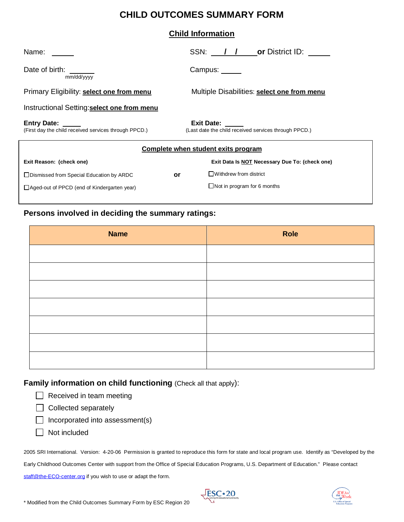# **CHILD OUTCOMES SUMMARY FORM**

### **Child Information**

| Name:                                                                       | SSN: / /<br><b>or</b> District ID:                                         |  |  |
|-----------------------------------------------------------------------------|----------------------------------------------------------------------------|--|--|
| Date of birth:<br>mm/dd/yyyy                                                | Campus:                                                                    |  |  |
| Primary Eligibility: select one from menu                                   | Multiple Disabilities: select one from menu                                |  |  |
| Instructional Setting: select one from menu                                 |                                                                            |  |  |
| <b>Entry Date:</b><br>(First day the child received services through PPCD.) | <b>Exit Date:</b><br>(Last date the child received services through PPCD.) |  |  |
|                                                                             | Complete when student exits program                                        |  |  |
| Exit Reason: (check one)                                                    | Exit Data Is NOT Necessary Due To: (check one)                             |  |  |
| □ Dismissed from Special Education by ARDC<br>or                            | $\Box$ Withdrew from district                                              |  |  |
| $\Box$ Aged-out of PPCD (end of Kindergarten year)                          | $\Box$ Not in program for 6 months                                         |  |  |

#### ֺ֖֚֝֬ **Persons involved in deciding the summary ratings:**

| <b>Name</b> | Role |
|-------------|------|
|             |      |
|             |      |
|             |      |
|             |      |
|             |      |
|             |      |
|             |      |

**Family information on child functioning (Check all that apply):** 

|  | $\Box$ Received in team meeting |
|--|---------------------------------|
|--|---------------------------------|

- $\Box$  Collected separately
- $\Box$  Incorporated into assessment(s)
- Not included

2005 SRI International. Version: 4-20-06 Permission is granted to reproduce this form for state and local program use. Identify as "Developed by the Early Childhood Outcomes Center with support from the Office of Special Education Programs, U.S. Department of Education." Please contact [staff@the-ECO-center.org](mailto:staff@the-eco-center.org) if you wish to use or adapt the form.



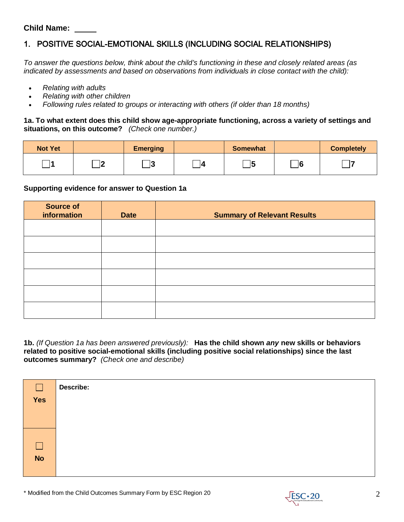### **Child Name:**

## 1. POSITIVE SOCIAL-EMOTIONAL SKILLS (INCLUDING SOCIAL RELATIONSHIPS)

*To answer the questions below, think about the child's functioning in these and closely related areas (as indicated by assessments and based on observations from individuals in close contact with the child):*

- *Relating with adults*
- *Relating with other children*
- *Following rules related to groups or interacting with others (if older than 18 months)*

**1a. To what extent does this child show age-appropriate functioning, across a variety of settings and situations, on this outcome?** *(Check one number.)*

| <b>Not Yet</b> |   | <b>Emerging</b> | <b>Somewhat</b> |              | <b>Completely</b> |
|----------------|---|-----------------|-----------------|--------------|-------------------|
|                | ۰ | ، ا<br>l se     | 15              | $\mathbf{E}$ |                   |

#### **Supporting evidence for answer to Question 1a**

| <b>Source of</b><br>information | <b>Date</b> | <b>Summary of Relevant Results</b> |
|---------------------------------|-------------|------------------------------------|
|                                 |             |                                    |
|                                 |             |                                    |
|                                 |             |                                    |
|                                 |             |                                    |
|                                 |             |                                    |
|                                 |             |                                    |

**1b.** *(If Question 1a has been answered previously):* **Has the child shown** *any* **new skills or behaviors related to positive social-emotional skills (including positive social relationships) since the last outcomes summary?** *(Check one and describe)*

| $\Box$         | <b>Describe:</b> |
|----------------|------------------|
| Yes            |                  |
|                |                  |
|                |                  |
| $\Box$         |                  |
| $\overline{N}$ |                  |
|                |                  |

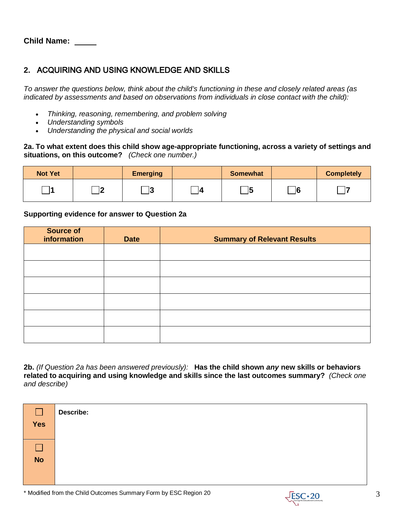**Child Name:** 

### **2.** ACQUIRING AND USING KNOWLEDGE AND SKILLS

*To answer the questions below, think about the child's functioning in these and closely related areas (as indicated by assessments and based on observations from individuals in close contact with the child):*

- *Thinking, reasoning, remembering, and problem solving*
- *Understanding symbols*
- *Understanding the physical and social worlds*

### **2a. To what extent does this child show age-appropriate functioning, across a variety of settings and situations, on this outcome?** *(Check one number.)*

| <b>Not Yet</b> |         | <b>Emerging</b> | <b>Somewhat</b> |          | <b>Completely</b> |
|----------------|---------|-----------------|-----------------|----------|-------------------|
|                | 16<br>− | ю<br>ю          | ᅟᆭ<br>−∣◡       | $\Box$ 6 |                   |

### **Supporting evidence for answer to Question 2a**

| Source of<br>information | <b>Date</b> | <b>Summary of Relevant Results</b> |
|--------------------------|-------------|------------------------------------|
|                          |             |                                    |
|                          |             |                                    |
|                          |             |                                    |
|                          |             |                                    |
|                          |             |                                    |
|                          |             |                                    |

**2b.** *(If Question 2a has been answered previously):* **Has the child shown** *any* **new skills or behaviors related to acquiring and using knowledge and skills since the last outcomes summary?** *(Check one and describe)* 

| $\Box$<br>Yes | Describe: |
|---------------|-----------|
| <b>No</b>     |           |